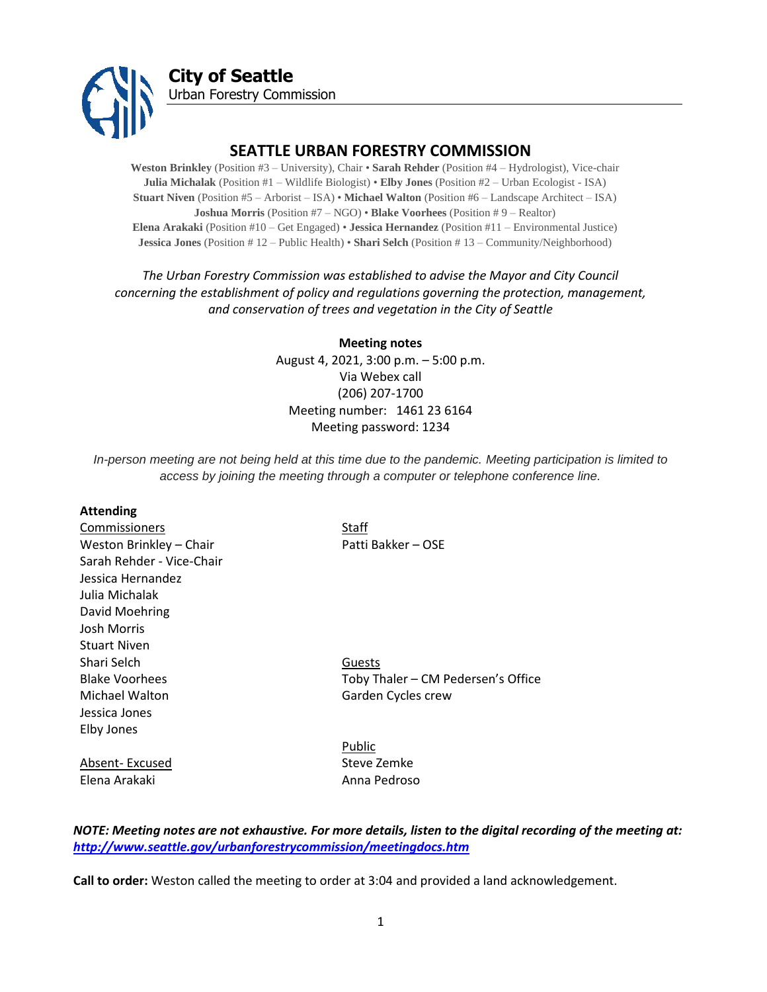

# **SEATTLE URBAN FORESTRY COMMISSION**

**Weston Brinkley** (Position #3 – University), Chair • **Sarah Rehder** (Position #4 – Hydrologist), Vice-chair **Julia Michalak** (Position #1 – Wildlife Biologist) • **Elby Jones** (Position #2 – Urban Ecologist - ISA) **Stuart Niven** (Position #5 – Arborist – ISA) • **Michael Walton** (Position #6 – Landscape Architect – ISA) **Joshua Morris** (Position #7 – NGO) • **Blake Voorhees** (Position # 9 – Realtor) **Elena Arakaki** (Position #10 – Get Engaged) • **Jessica Hernandez** (Position #11 – Environmental Justice) **Jessica Jones** (Position # 12 – Public Health) • **Shari Selch** (Position # 13 – Community/Neighborhood)

# *The Urban Forestry Commission was established to advise the Mayor and City Council concerning the establishment of policy and regulations governing the protection, management, and conservation of trees and vegetation in the City of Seattle*

**Meeting notes** August 4, 2021, 3:00 p.m. – 5:00 p.m. Via Webex call (206) 207-1700 Meeting number: 1461 23 6164 Meeting password: 1234

*In-person meeting are not being held at this time due to the pandemic. Meeting participation is limited to access by joining the meeting through a computer or telephone conference line.*

#### **Attending**

Commissioners Staff Weston Brinkley – Chair Patti Bakker – OSE Sarah Rehder - Vice-Chair Jessica Hernandez Julia Michalak David Moehring Josh Morris Stuart Niven Shari Selch Guests Michael Walton Garden Cycles crew Jessica Jones Elby Jones

Blake Voorhees Toby Thaler – CM Pedersen's Office

Absent- Excused Steve Zemke Elena Arakaki Mashida Anna Pedroso

Public

*NOTE: Meeting notes are not exhaustive. For more details, listen to the digital recording of the meeting at: <http://www.seattle.gov/urbanforestrycommission/meetingdocs.htm>*

**Call to order:** Weston called the meeting to order at 3:04 and provided a land acknowledgement.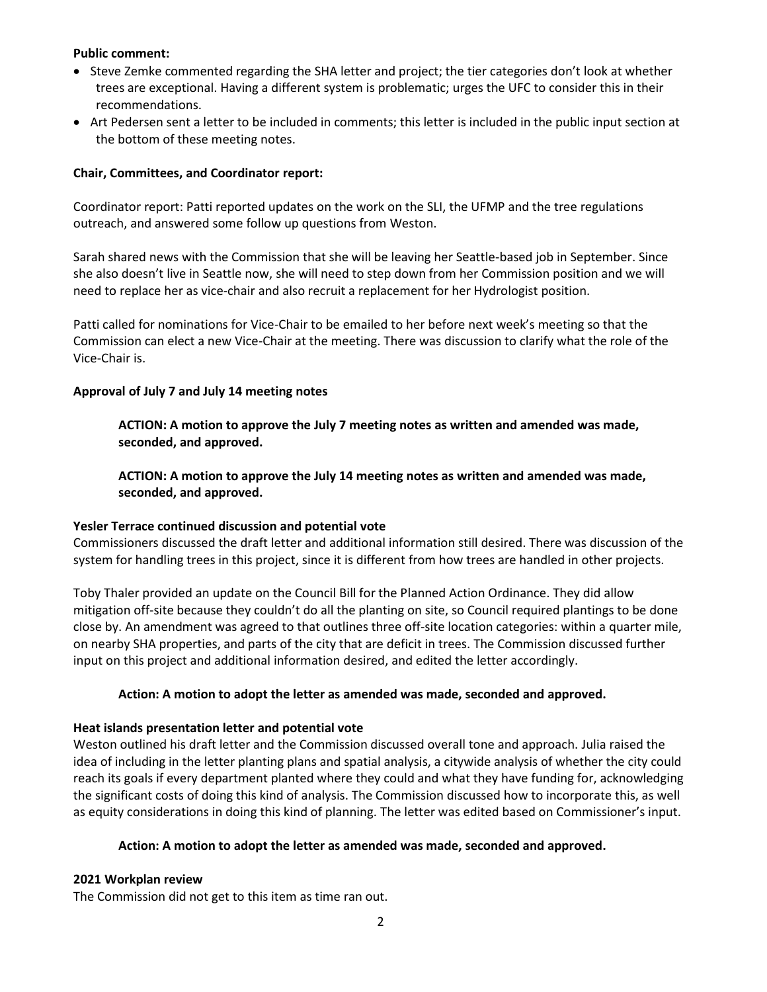### **Public comment:**

- Steve Zemke commented regarding the SHA letter and project; the tier categories don't look at whether trees are exceptional. Having a different system is problematic; urges the UFC to consider this in their recommendations.
- Art Pedersen sent a letter to be included in comments; this letter is included in the public input section at the bottom of these meeting notes.

# **Chair, Committees, and Coordinator report:**

Coordinator report: Patti reported updates on the work on the SLI, the UFMP and the tree regulations outreach, and answered some follow up questions from Weston.

Sarah shared news with the Commission that she will be leaving her Seattle-based job in September. Since she also doesn't live in Seattle now, she will need to step down from her Commission position and we will need to replace her as vice-chair and also recruit a replacement for her Hydrologist position.

Patti called for nominations for Vice-Chair to be emailed to her before next week's meeting so that the Commission can elect a new Vice-Chair at the meeting. There was discussion to clarify what the role of the Vice-Chair is.

### **Approval of July 7 and July 14 meeting notes**

**ACTION: A motion to approve the July 7 meeting notes as written and amended was made, seconded, and approved.** 

**ACTION: A motion to approve the July 14 meeting notes as written and amended was made, seconded, and approved.** 

#### **Yesler Terrace continued discussion and potential vote**

Commissioners discussed the draft letter and additional information still desired. There was discussion of the system for handling trees in this project, since it is different from how trees are handled in other projects.

Toby Thaler provided an update on the Council Bill for the Planned Action Ordinance. They did allow mitigation off-site because they couldn't do all the planting on site, so Council required plantings to be done close by. An amendment was agreed to that outlines three off-site location categories: within a quarter mile, on nearby SHA properties, and parts of the city that are deficit in trees. The Commission discussed further input on this project and additional information desired, and edited the letter accordingly.

### **Action: A motion to adopt the letter as amended was made, seconded and approved.**

#### **Heat islands presentation letter and potential vote**

Weston outlined his draft letter and the Commission discussed overall tone and approach. Julia raised the idea of including in the letter planting plans and spatial analysis, a citywide analysis of whether the city could reach its goals if every department planted where they could and what they have funding for, acknowledging the significant costs of doing this kind of analysis. The Commission discussed how to incorporate this, as well as equity considerations in doing this kind of planning. The letter was edited based on Commissioner's input.

#### **Action: A motion to adopt the letter as amended was made, seconded and approved.**

# **2021 Workplan review**

The Commission did not get to this item as time ran out.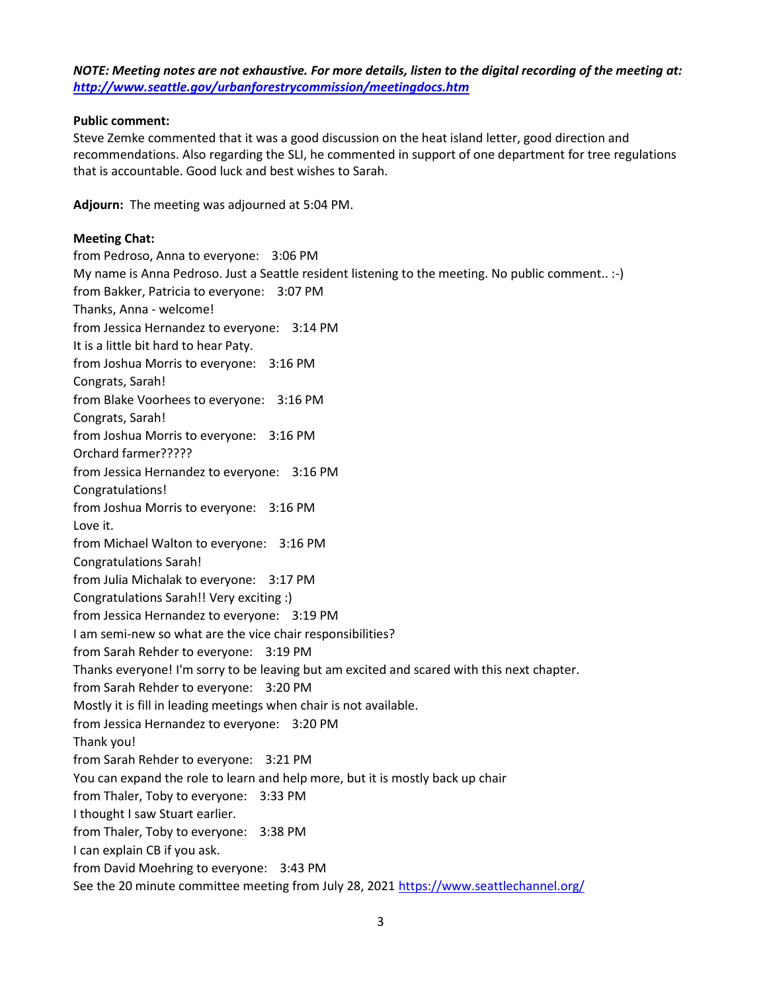*NOTE: Meeting notes are not exhaustive. For more details, listen to the digital recording of the meeting at: <http://www.seattle.gov/urbanforestrycommission/meetingdocs.htm>*

# **Public comment:**

Steve Zemke commented that it was a good discussion on the heat island letter, good direction and recommendations. Also regarding the SLI, he commented in support of one department for tree regulations that is accountable. Good luck and best wishes to Sarah.

**Adjourn:** The meeting was adjourned at 5:04 PM.

# **Meeting Chat:**

from Pedroso, Anna to everyone: 3:06 PM My name is Anna Pedroso. Just a Seattle resident listening to the meeting. No public comment.. :-) from Bakker, Patricia to everyone: 3:07 PM Thanks, Anna - welcome! from Jessica Hernandez to everyone: 3:14 PM It is a little bit hard to hear Paty. from Joshua Morris to everyone: 3:16 PM Congrats, Sarah! from Blake Voorhees to everyone: 3:16 PM Congrats, Sarah! from Joshua Morris to everyone: 3:16 PM Orchard farmer????? from Jessica Hernandez to everyone: 3:16 PM Congratulations! from Joshua Morris to everyone: 3:16 PM Love it. from Michael Walton to everyone: 3:16 PM Congratulations Sarah! from Julia Michalak to everyone: 3:17 PM Congratulations Sarah!! Very exciting :) from Jessica Hernandez to everyone: 3:19 PM I am semi-new so what are the vice chair responsibilities? from Sarah Rehder to everyone: 3:19 PM Thanks everyone! I'm sorry to be leaving but am excited and scared with this next chapter. from Sarah Rehder to everyone: 3:20 PM Mostly it is fill in leading meetings when chair is not available. from Jessica Hernandez to everyone: 3:20 PM Thank you! from Sarah Rehder to everyone: 3:21 PM You can expand the role to learn and help more, but it is mostly back up chair from Thaler, Toby to everyone: 3:33 PM I thought I saw Stuart earlier. from Thaler, Toby to everyone: 3:38 PM I can explain CB if you ask. from David Moehring to everyone: 3:43 PM See the 20 minute committee meeting from July 28, 2021<https://www.seattlechannel.org/>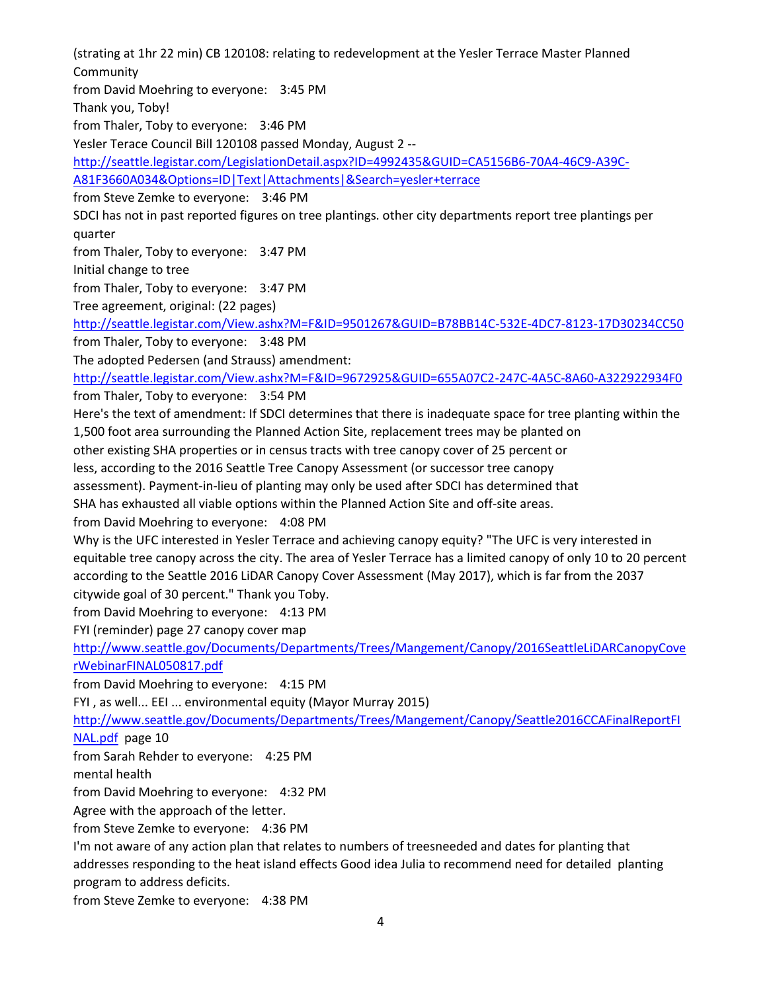(strating at 1hr 22 min) CB 120108: relating to redevelopment at the Yesler Terrace Master Planned **Community** from David Moehring to everyone: 3:45 PM Thank you, Toby! from Thaler, Toby to everyone: 3:46 PM Yesler Terace Council Bill 120108 passed Monday, August 2 - [http://seattle.legistar.com/LegislationDetail.aspx?ID=4992435&GUID=CA5156B6-70A4-46C9-A39C-](http://seattle.legistar.com/LegislationDetail.aspx?ID=4992435&GUID=CA5156B6-70A4-46C9-A39C-A81F3660A034&Options=ID|Text|Attachments|&Search=yesler+terrace)[A81F3660A034&Options=ID|Text|Attachments|&Search=yesler+terrace](http://seattle.legistar.com/LegislationDetail.aspx?ID=4992435&GUID=CA5156B6-70A4-46C9-A39C-A81F3660A034&Options=ID|Text|Attachments|&Search=yesler+terrace) from Steve Zemke to everyone: 3:46 PM SDCI has not in past reported figures on tree plantings. other city departments report tree plantings per quarter from Thaler, Toby to everyone: 3:47 PM Initial change to tree from Thaler, Toby to everyone: 3:47 PM Tree agreement, original: (22 pages) <http://seattle.legistar.com/View.ashx?M=F&ID=9501267&GUID=B78BB14C-532E-4DC7-8123-17D30234CC50> from Thaler, Toby to everyone: 3:48 PM The adopted Pedersen (and Strauss) amendment: <http://seattle.legistar.com/View.ashx?M=F&ID=9672925&GUID=655A07C2-247C-4A5C-8A60-A322922934F0> from Thaler, Toby to everyone: 3:54 PM Here's the text of amendment: If SDCI determines that there is inadequate space for tree planting within the 1,500 foot area surrounding the Planned Action Site, replacement trees may be planted on other existing SHA properties or in census tracts with tree canopy cover of 25 percent or less, according to the 2016 Seattle Tree Canopy Assessment (or successor tree canopy assessment). Payment-in-lieu of planting may only be used after SDCI has determined that SHA has exhausted all viable options within the Planned Action Site and off-site areas. from David Moehring to everyone: 4:08 PM Why is the UFC interested in Yesler Terrace and achieving canopy equity? "The UFC is very interested in equitable tree canopy across the city. The area of Yesler Terrace has a limited canopy of only 10 to 20 percent according to the Seattle 2016 LiDAR Canopy Cover Assessment (May 2017), which is far from the 2037 citywide goal of 30 percent." Thank you Toby. from David Moehring to everyone: 4:13 PM FYI (reminder) page 27 canopy cover map [http://www.seattle.gov/Documents/Departments/Trees/Mangement/Canopy/2016SeattleLiDARCanopyCove](http://www.seattle.gov/Documents/Departments/Trees/Mangement/Canopy/2016SeattleLiDARCanopyCoverWebinarFINAL050817.pdf) [rWebinarFINAL050817.pdf](http://www.seattle.gov/Documents/Departments/Trees/Mangement/Canopy/2016SeattleLiDARCanopyCoverWebinarFINAL050817.pdf) from David Moehring to everyone: 4:15 PM FYI , as well... EEI ... environmental equity (Mayor Murray 2015) [http://www.seattle.gov/Documents/Departments/Trees/Mangement/Canopy/Seattle2016CCAFinalReportFI](http://www.seattle.gov/Documents/Departments/Trees/Mangement/Canopy/Seattle2016CCAFinalReportFINAL.pdf) [NAL.pdf](http://www.seattle.gov/Documents/Departments/Trees/Mangement/Canopy/Seattle2016CCAFinalReportFINAL.pdf) page 10 from Sarah Rehder to everyone: 4:25 PM mental health from David Moehring to everyone: 4:32 PM Agree with the approach of the letter. from Steve Zemke to everyone: 4:36 PM I'm not aware of any action plan that relates to numbers of treesneeded and dates for planting that addresses responding to the heat island effects Good idea Julia to recommend need for detailed planting program to address deficits. from Steve Zemke to everyone: 4:38 PM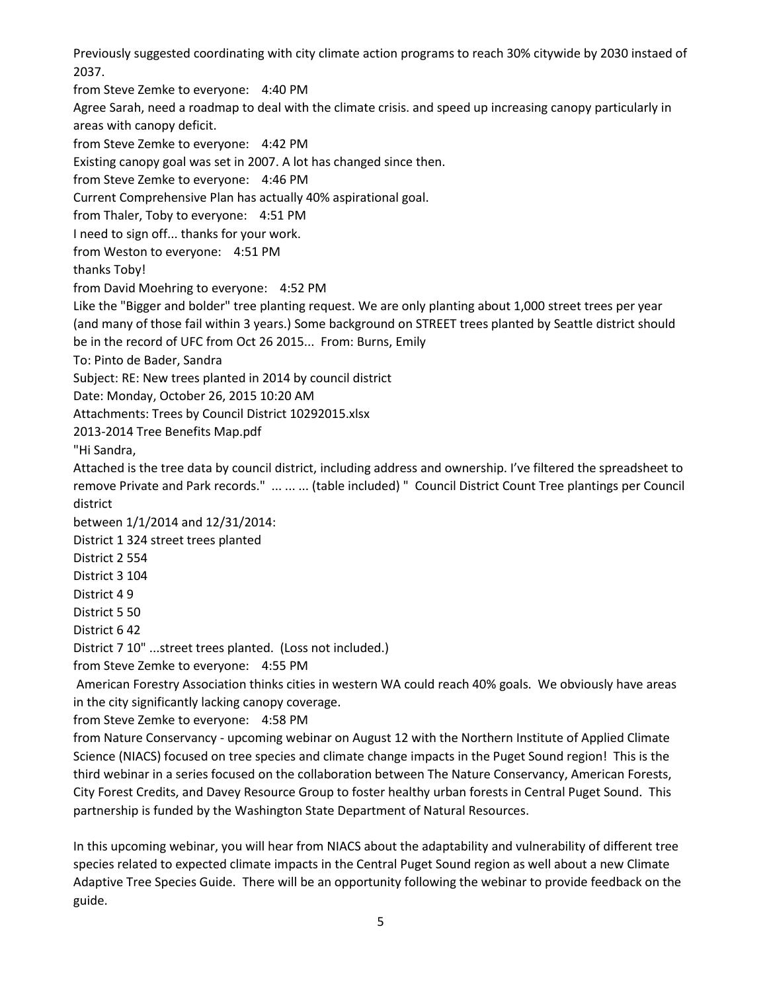Previously suggested coordinating with city climate action programs to reach 30% citywide by 2030 instaed of 2037.

from Steve Zemke to everyone: 4:40 PM

Agree Sarah, need a roadmap to deal with the climate crisis. and speed up increasing canopy particularly in areas with canopy deficit.

from Steve Zemke to everyone: 4:42 PM

Existing canopy goal was set in 2007. A lot has changed since then.

from Steve Zemke to everyone: 4:46 PM

Current Comprehensive Plan has actually 40% aspirational goal.

from Thaler, Toby to everyone: 4:51 PM

I need to sign off... thanks for your work.

from Weston to everyone: 4:51 PM

thanks Toby!

from David Moehring to everyone: 4:52 PM

Like the "Bigger and bolder" tree planting request. We are only planting about 1,000 street trees per year (and many of those fail within 3 years.) Some background on STREET trees planted by Seattle district should

be in the record of UFC from Oct 26 2015... From: Burns, Emily

To: Pinto de Bader, Sandra

Subject: RE: New trees planted in 2014 by council district

Date: Monday, October 26, 2015 10:20 AM

Attachments: Trees by Council District 10292015.xlsx

2013-2014 Tree Benefits Map.pdf

"Hi Sandra,

Attached is the tree data by council district, including address and ownership. I've filtered the spreadsheet to remove Private and Park records." ... ... ... (table included) " Council District Count Tree plantings per Council district

between 1/1/2014 and 12/31/2014:

District 1 324 street trees planted

District 2 554

District 3 104

District 4 9

District 5 50

District 6 42

District 7 10" ...street trees planted. (Loss not included.)

from Steve Zemke to everyone: 4:55 PM

American Forestry Association thinks cities in western WA could reach 40% goals. We obviously have areas in the city significantly lacking canopy coverage.

from Steve Zemke to everyone: 4:58 PM

from Nature Conservancy - upcoming webinar on August 12 with the Northern Institute of Applied Climate Science (NIACS) focused on tree species and climate change impacts in the Puget Sound region! This is the third webinar in a series focused on the collaboration between The Nature Conservancy, American Forests, City Forest Credits, and Davey Resource Group to foster healthy urban forests in Central Puget Sound. This partnership is funded by the Washington State Department of Natural Resources.

In this upcoming webinar, you will hear from NIACS about the adaptability and vulnerability of different tree species related to expected climate impacts in the Central Puget Sound region as well about a new Climate Adaptive Tree Species Guide. There will be an opportunity following the webinar to provide feedback on the guide.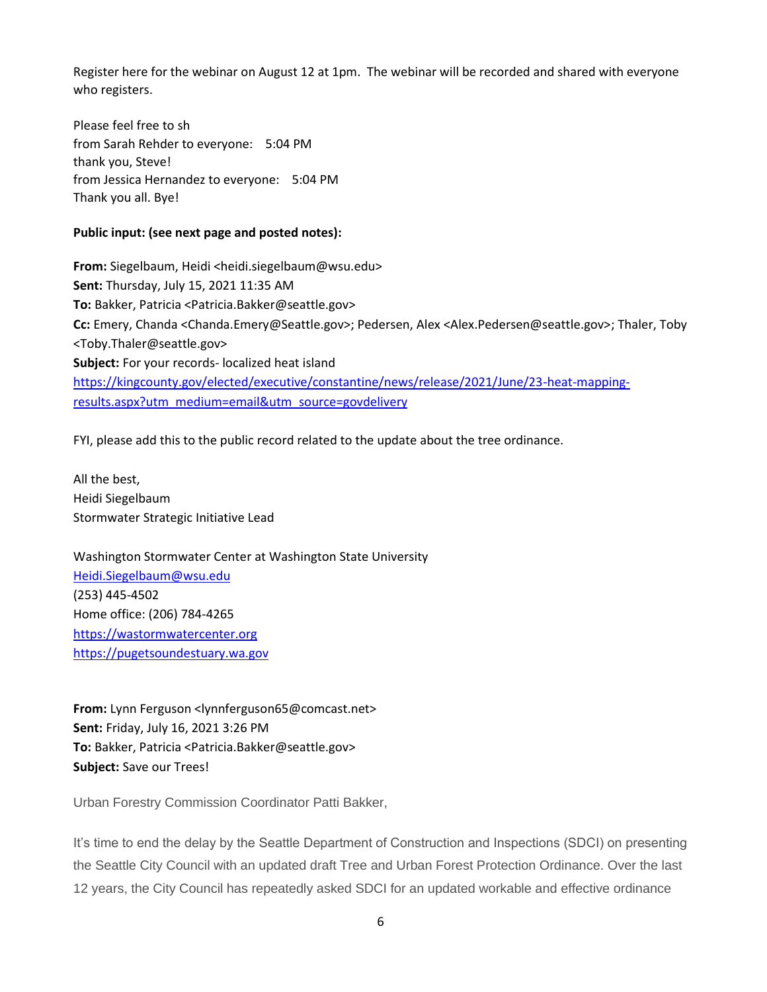Register here for the webinar on August 12 at 1pm. The webinar will be recorded and shared with everyone who registers.

Please feel free to sh from Sarah Rehder to everyone: 5:04 PM thank you, Steve! from Jessica Hernandez to everyone: 5:04 PM Thank you all. Bye!

# **Public input: (see next page and posted notes):**

**From:** Siegelbaum, Heidi <heidi.siegelbaum@wsu.edu> **Sent:** Thursday, July 15, 2021 11:35 AM **To:** Bakker, Patricia <Patricia.Bakker@seattle.gov> **Cc:** Emery, Chanda <Chanda.Emery@Seattle.gov>; Pedersen, Alex <Alex.Pedersen@seattle.gov>; Thaler, Toby <Toby.Thaler@seattle.gov> **Subject:** For your records- localized heat island [https://kingcounty.gov/elected/executive/constantine/news/release/2021/June/23-heat-mapping](https://kingcounty.gov/elected/executive/constantine/news/release/2021/June/23-heat-mapping-results.aspx?utm_medium=email&utm_source=govdelivery)[results.aspx?utm\\_medium=email&utm\\_source=govdelivery](https://kingcounty.gov/elected/executive/constantine/news/release/2021/June/23-heat-mapping-results.aspx?utm_medium=email&utm_source=govdelivery)

FYI, please add this to the public record related to the update about the tree ordinance.

All the best, Heidi Siegelbaum Stormwater Strategic Initiative Lead

Washington Stormwater Center at Washington State University [Heidi.Siegelbaum@wsu.edu](mailto:Heidi.Siegelbaum@wsu.edu) (253) 445-4502 Home office: (206) 784-4265 [https://wastormwatercenter.org](https://protect2.fireeye.com/v1/url?k=ac3c8a1c-f3a7b314-ac3ca2ac-86e696e30194-6eb06482aa3164a8&q=1&e=b49aa4c9-3ac1-4f61-a921-400a9a0b72fc&u=https%3A%2F%2Fwastormwatercenter.org%2F) [https://pugetsoundestuary.wa.gov](https://pugetsoundestuary.wa.gov/)

**From:** Lynn Ferguson <lynnferguson65@comcast.net> **Sent:** Friday, July 16, 2021 3:26 PM **To:** Bakker, Patricia <Patricia.Bakker@seattle.gov> **Subject:** Save our Trees!

Urban Forestry Commission Coordinator Patti Bakker,

It's time to end the delay by the Seattle Department of Construction and Inspections (SDCI) on presenting the Seattle City Council with an updated draft Tree and Urban Forest Protection Ordinance. Over the last 12 years, the City Council has repeatedly asked SDCI for an updated workable and effective ordinance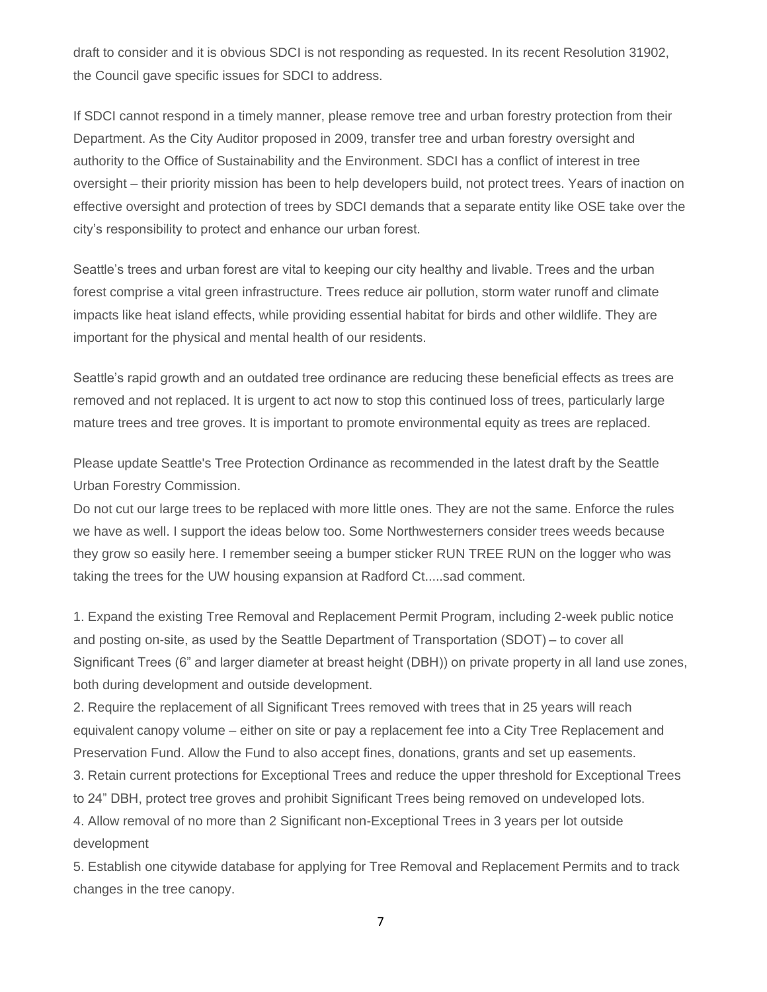draft to consider and it is obvious SDCI is not responding as requested. In its recent Resolution 31902, the Council gave specific issues for SDCI to address.

If SDCI cannot respond in a timely manner, please remove tree and urban forestry protection from their Department. As the City Auditor proposed in 2009, transfer tree and urban forestry oversight and authority to the Office of Sustainability and the Environment. SDCI has a conflict of interest in tree oversight – their priority mission has been to help developers build, not protect trees. Years of inaction on effective oversight and protection of trees by SDCI demands that a separate entity like OSE take over the city's responsibility to protect and enhance our urban forest.

Seattle's trees and urban forest are vital to keeping our city healthy and livable. Trees and the urban forest comprise a vital green infrastructure. Trees reduce air pollution, storm water runoff and climate impacts like heat island effects, while providing essential habitat for birds and other wildlife. They are important for the physical and mental health of our residents.

Seattle's rapid growth and an outdated tree ordinance are reducing these beneficial effects as trees are removed and not replaced. It is urgent to act now to stop this continued loss of trees, particularly large mature trees and tree groves. It is important to promote environmental equity as trees are replaced.

Please update Seattle's Tree Protection Ordinance as recommended in the latest draft by the Seattle Urban Forestry Commission.

Do not cut our large trees to be replaced with more little ones. They are not the same. Enforce the rules we have as well. I support the ideas below too. Some Northwesterners consider trees weeds because they grow so easily here. I remember seeing a bumper sticker RUN TREE RUN on the logger who was taking the trees for the UW housing expansion at Radford Ct.....sad comment.

1. Expand the existing Tree Removal and Replacement Permit Program, including 2-week public notice and posting on-site, as used by the Seattle Department of Transportation (SDOT) – to cover all Significant Trees (6" and larger diameter at breast height (DBH)) on private property in all land use zones, both during development and outside development.

2. Require the replacement of all Significant Trees removed with trees that in 25 years will reach equivalent canopy volume – either on site or pay a replacement fee into a City Tree Replacement and Preservation Fund. Allow the Fund to also accept fines, donations, grants and set up easements.

3. Retain current protections for Exceptional Trees and reduce the upper threshold for Exceptional Trees to 24" DBH, protect tree groves and prohibit Significant Trees being removed on undeveloped lots.

4. Allow removal of no more than 2 Significant non-Exceptional Trees in 3 years per lot outside development

5. Establish one citywide database for applying for Tree Removal and Replacement Permits and to track changes in the tree canopy.

7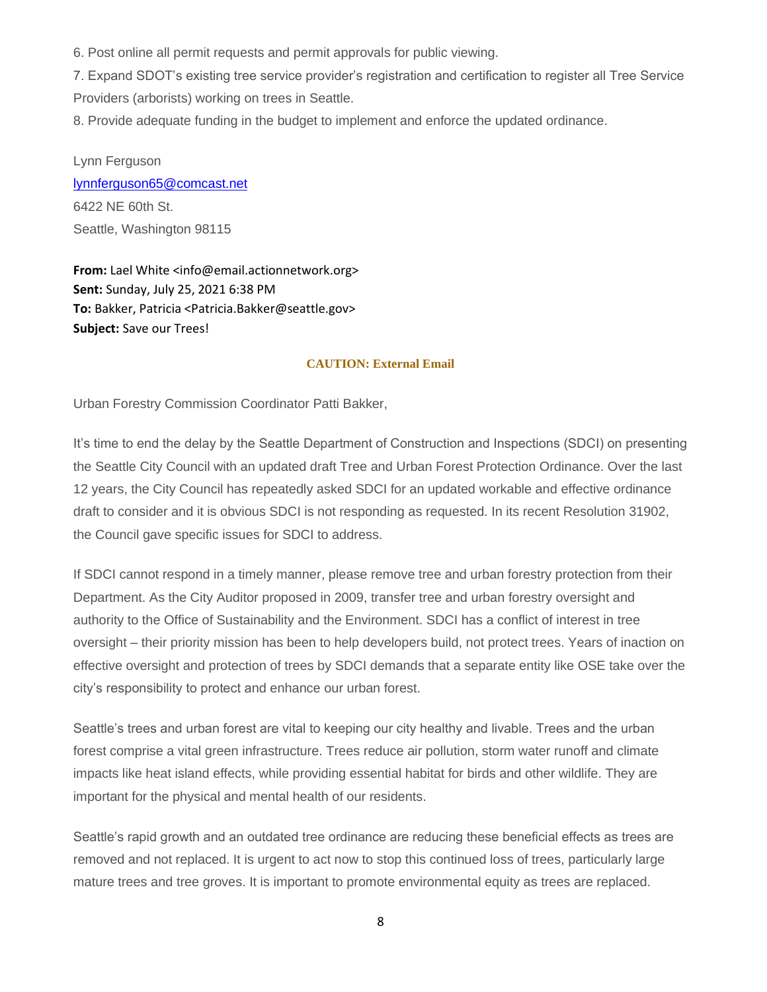6. Post online all permit requests and permit approvals for public viewing.

7. Expand SDOT's existing tree service provider's registration and certification to register all Tree Service Providers (arborists) working on trees in Seattle.

8. Provide adequate funding in the budget to implement and enforce the updated ordinance.

Lynn Ferguson [lynnferguson65@comcast.net](mailto:lynnferguson65@comcast.net) 6422 NE 60th St. Seattle, Washington 98115

**From:** Lael White <info@email.actionnetwork.org> **Sent:** Sunday, July 25, 2021 6:38 PM **To:** Bakker, Patricia <Patricia.Bakker@seattle.gov> **Subject:** Save our Trees!

#### **CAUTION: External Email**

Urban Forestry Commission Coordinator Patti Bakker,

It's time to end the delay by the Seattle Department of Construction and Inspections (SDCI) on presenting the Seattle City Council with an updated draft Tree and Urban Forest Protection Ordinance. Over the last 12 years, the City Council has repeatedly asked SDCI for an updated workable and effective ordinance draft to consider and it is obvious SDCI is not responding as requested. In its recent Resolution 31902, the Council gave specific issues for SDCI to address.

If SDCI cannot respond in a timely manner, please remove tree and urban forestry protection from their Department. As the City Auditor proposed in 2009, transfer tree and urban forestry oversight and authority to the Office of Sustainability and the Environment. SDCI has a conflict of interest in tree oversight – their priority mission has been to help developers build, not protect trees. Years of inaction on effective oversight and protection of trees by SDCI demands that a separate entity like OSE take over the city's responsibility to protect and enhance our urban forest.

Seattle's trees and urban forest are vital to keeping our city healthy and livable. Trees and the urban forest comprise a vital green infrastructure. Trees reduce air pollution, storm water runoff and climate impacts like heat island effects, while providing essential habitat for birds and other wildlife. They are important for the physical and mental health of our residents.

Seattle's rapid growth and an outdated tree ordinance are reducing these beneficial effects as trees are removed and not replaced. It is urgent to act now to stop this continued loss of trees, particularly large mature trees and tree groves. It is important to promote environmental equity as trees are replaced.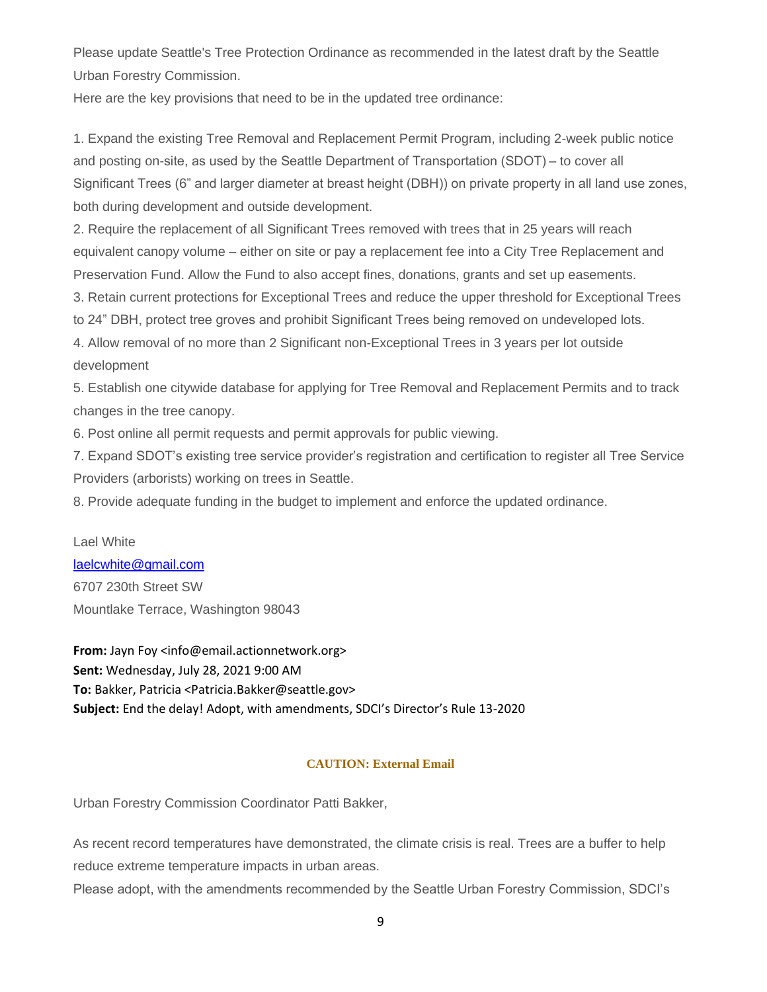Please update Seattle's Tree Protection Ordinance as recommended in the latest draft by the Seattle Urban Forestry Commission.

Here are the key provisions that need to be in the updated tree ordinance:

1. Expand the existing Tree Removal and Replacement Permit Program, including 2-week public notice and posting on-site, as used by the Seattle Department of Transportation (SDOT) – to cover all Significant Trees (6" and larger diameter at breast height (DBH)) on private property in all land use zones, both during development and outside development.

2. Require the replacement of all Significant Trees removed with trees that in 25 years will reach equivalent canopy volume – either on site or pay a replacement fee into a City Tree Replacement and Preservation Fund. Allow the Fund to also accept fines, donations, grants and set up easements.

3. Retain current protections for Exceptional Trees and reduce the upper threshold for Exceptional Trees

to 24" DBH, protect tree groves and prohibit Significant Trees being removed on undeveloped lots.

4. Allow removal of no more than 2 Significant non-Exceptional Trees in 3 years per lot outside development

5. Establish one citywide database for applying for Tree Removal and Replacement Permits and to track changes in the tree canopy.

6. Post online all permit requests and permit approvals for public viewing.

7. Expand SDOT's existing tree service provider's registration and certification to register all Tree Service Providers (arborists) working on trees in Seattle.

8. Provide adequate funding in the budget to implement and enforce the updated ordinance.

#### Lael White

[laelcwhite@gmail.com](mailto:laelcwhite@gmail.com) 6707 230th Street SW Mountlake Terrace, Washington 98043

**From:** Jayn Foy <info@email.actionnetwork.org> **Sent:** Wednesday, July 28, 2021 9:00 AM **To:** Bakker, Patricia <Patricia.Bakker@seattle.gov> **Subject:** End the delay! Adopt, with amendments, SDCI's Director's Rule 13-2020

# **CAUTION: External Email**

Urban Forestry Commission Coordinator Patti Bakker,

As recent record temperatures have demonstrated, the climate crisis is real. Trees are a buffer to help reduce extreme temperature impacts in urban areas.

Please adopt, with the amendments recommended by the Seattle Urban Forestry Commission, SDCI's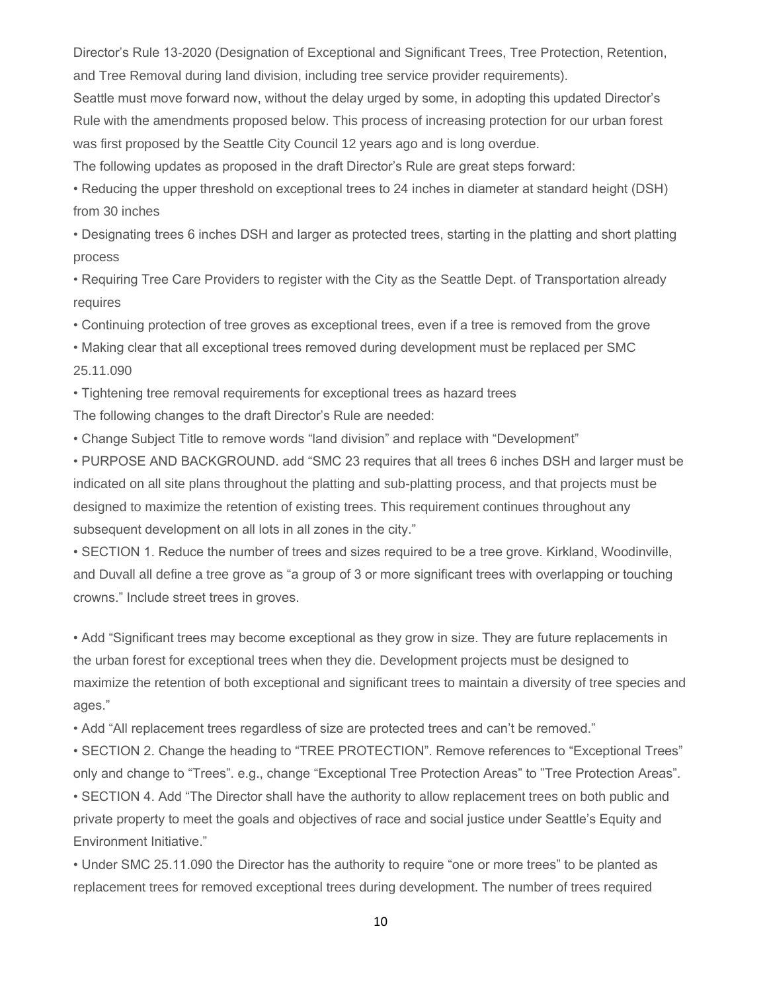Director's Rule 13-2020 (Designation of Exceptional and Significant Trees, Tree Protection, Retention, and Tree Removal during land division, including tree service provider requirements).

Seattle must move forward now, without the delay urged by some, in adopting this updated Director's Rule with the amendments proposed below. This process of increasing protection for our urban forest was first proposed by the Seattle City Council 12 years ago and is long overdue.

The following updates as proposed in the draft Director's Rule are great steps forward:

• Reducing the upper threshold on exceptional trees to 24 inches in diameter at standard height (DSH) from 30 inches

• Designating trees 6 inches DSH and larger as protected trees, starting in the platting and short platting process

• Requiring Tree Care Providers to register with the City as the Seattle Dept. of Transportation already requires

• Continuing protection of tree groves as exceptional trees, even if a tree is removed from the grove

• Making clear that all exceptional trees removed during development must be replaced per SMC 25.11.090

• Tightening tree removal requirements for exceptional trees as hazard trees

The following changes to the draft Director's Rule are needed:

• Change Subject Title to remove words "land division" and replace with "Development"

• PURPOSE AND BACKGROUND. add "SMC 23 requires that all trees 6 inches DSH and larger must be indicated on all site plans throughout the platting and sub-platting process, and that projects must be designed to maximize the retention of existing trees. This requirement continues throughout any subsequent development on all lots in all zones in the city."

• SECTION 1. Reduce the number of trees and sizes required to be a tree grove. Kirkland, Woodinville, and Duvall all define a tree grove as "a group of 3 or more significant trees with overlapping or touching crowns." Include street trees in groves.

• Add "Significant trees may become exceptional as they grow in size. They are future replacements in the urban forest for exceptional trees when they die. Development projects must be designed to maximize the retention of both exceptional and significant trees to maintain a diversity of tree species and ages."

• Add "All replacement trees regardless of size are protected trees and can't be removed."

• SECTION 2. Change the heading to "TREE PROTECTION". Remove references to "Exceptional Trees" only and change to "Trees". e.g., change "Exceptional Tree Protection Areas" to "Tree Protection Areas".

• SECTION 4. Add "The Director shall have the authority to allow replacement trees on both public and private property to meet the goals and objectives of race and social justice under Seattle's Equity and Environment Initiative."

• Under SMC 25.11.090 the Director has the authority to require "one or more trees" to be planted as replacement trees for removed exceptional trees during development. The number of trees required

10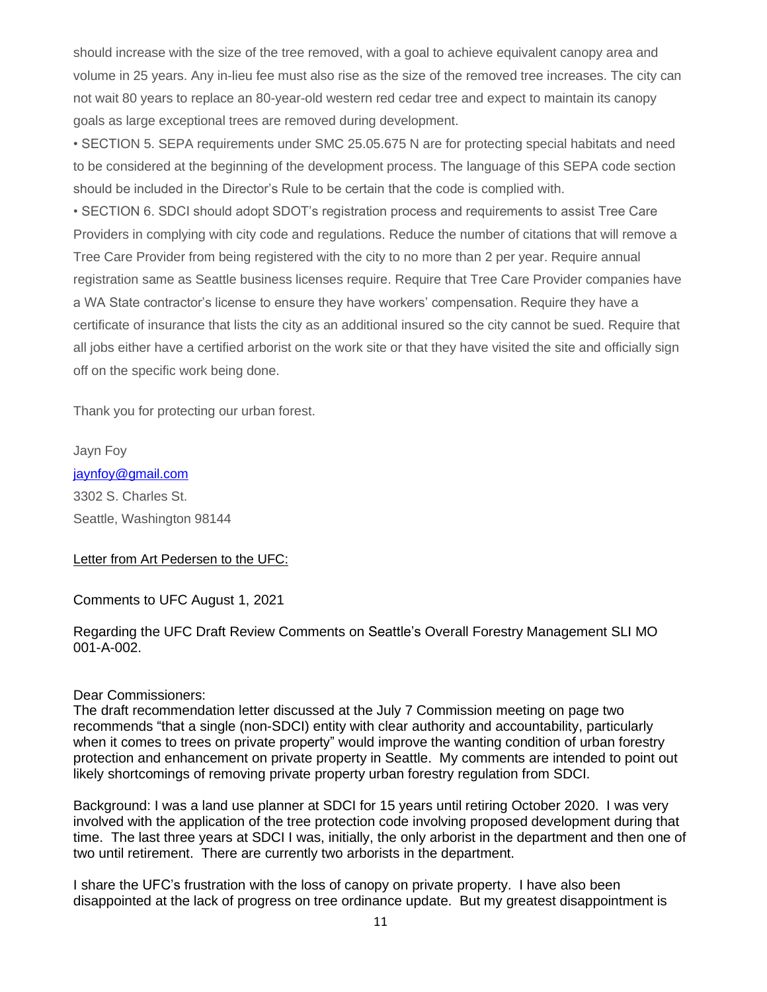should increase with the size of the tree removed, with a goal to achieve equivalent canopy area and volume in 25 years. Any in-lieu fee must also rise as the size of the removed tree increases. The city can not wait 80 years to replace an 80-year-old western red cedar tree and expect to maintain its canopy goals as large exceptional trees are removed during development.

• SECTION 5. SEPA requirements under SMC 25.05.675 N are for protecting special habitats and need to be considered at the beginning of the development process. The language of this SEPA code section should be included in the Director's Rule to be certain that the code is complied with.

• SECTION 6. SDCI should adopt SDOT's registration process and requirements to assist Tree Care Providers in complying with city code and regulations. Reduce the number of citations that will remove a Tree Care Provider from being registered with the city to no more than 2 per year. Require annual registration same as Seattle business licenses require. Require that Tree Care Provider companies have a WA State contractor's license to ensure they have workers' compensation. Require they have a certificate of insurance that lists the city as an additional insured so the city cannot be sued. Require that all jobs either have a certified arborist on the work site or that they have visited the site and officially sign off on the specific work being done.

Thank you for protecting our urban forest.

Jayn Foy [jaynfoy@gmail.com](mailto:jaynfoy@gmail.com) 3302 S. Charles St. Seattle, Washington 98144

### Letter from Art Pedersen to the UFC:

Comments to UFC August 1, 2021

Regarding the UFC Draft Review Comments on Seattle's Overall Forestry Management SLI MO 001-A-002.

### Dear Commissioners:

The draft recommendation letter discussed at the July 7 Commission meeting on page two recommends "that a single (non-SDCI) entity with clear authority and accountability, particularly when it comes to trees on private property" would improve the wanting condition of urban forestry protection and enhancement on private property in Seattle. My comments are intended to point out likely shortcomings of removing private property urban forestry regulation from SDCI.

Background: I was a land use planner at SDCI for 15 years until retiring October 2020. I was very involved with the application of the tree protection code involving proposed development during that time. The last three years at SDCI I was, initially, the only arborist in the department and then one of two until retirement. There are currently two arborists in the department.

I share the UFC's frustration with the loss of canopy on private property. I have also been disappointed at the lack of progress on tree ordinance update. But my greatest disappointment is